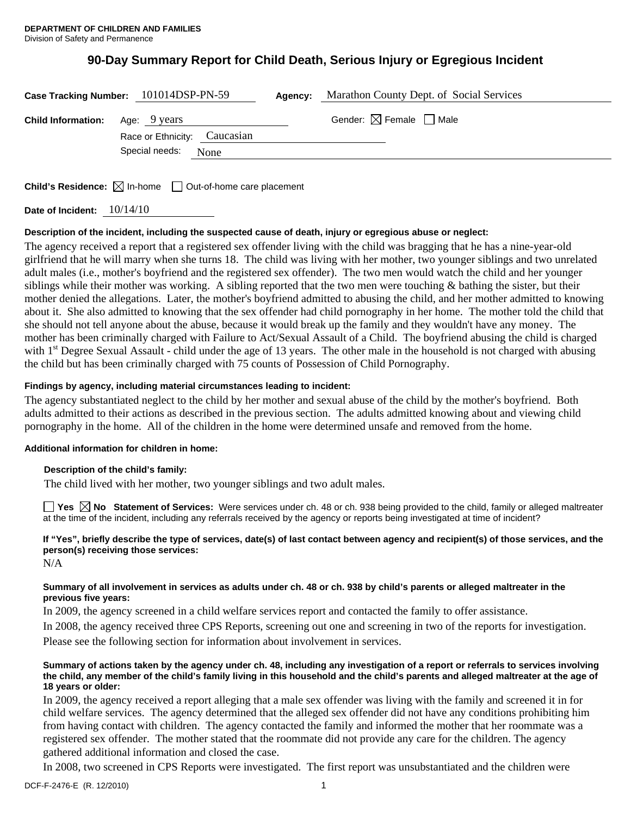# **90-Day Summary Report for Child Death, Serious Injury or Egregious Incident**

|                                        | Case Tracking Number: 101014DSP-PN-59 | Agency: | Marathon County Dept. of Social Services |  |
|----------------------------------------|---------------------------------------|---------|------------------------------------------|--|
| <b>Child Information:</b> Age: 9 years |                                       |         | Gender: $\boxtimes$ Female $\Box$ Male   |  |
|                                        | Race or Ethnicity: Caucasian          |         |                                          |  |
|                                        | Special needs:<br>None                |         |                                          |  |
|                                        |                                       |         |                                          |  |

**Child's Residence:** ⊠ In-home □ Out-of-home care placement

**Date of Incident:** 10/14/10

# **Description of the incident, including the suspected cause of death, injury or egregious abuse or neglect:**

The agency received a report that a registered sex offender living with the child was bragging that he has a nine-year-old girlfriend that he will marry when she turns 18. The child was living with her mother, two younger siblings and two unrelated adult males (i.e., mother's boyfriend and the registered sex offender). The two men would watch the child and her younger siblings while their mother was working. A sibling reported that the two men were touching  $\&$  bathing the sister, but their mother denied the allegations. Later, the mother's boyfriend admitted to abusing the child, and her mother admitted to knowing about it. She also admitted to knowing that the sex offender had child pornography in her home. The mother told the child that she should not tell anyone about the abuse, because it would break up the family and they wouldn't have any money. The mother has been criminally charged with Failure to Act/Sexual Assault of a Child. The boyfriend abusing the child is charged with  $1<sup>st</sup>$  Degree Sexual Assault - child under the age of 13 years. The other male in the household is not charged with abusing the child but has been criminally charged with 75 counts of Possession of Child Pornography.

# **Findings by agency, including material circumstances leading to incident:**

The agency substantiated neglect to the child by her mother and sexual abuse of the child by the mother's boyfriend. Both adults admitted to their actions as described in the previous section. The adults admitted knowing about and viewing child pornography in the home. All of the children in the home were determined unsafe and removed from the home.

### **Additional information for children in home:**

### **Description of the child's family:**

The child lived with her mother, two younger siblings and two adult males.

**Yes No Statement of Services:** Were services under ch. 48 or ch. 938 being provided to the child, family or alleged maltreater at the time of the incident, including any referrals received by the agency or reports being investigated at time of incident?

# **If "Yes", briefly describe the type of services, date(s) of last contact between agency and recipient(s) of those services, and the person(s) receiving those services:**

N/A

### **Summary of all involvement in services as adults under ch. 48 or ch. 938 by child's parents or alleged maltreater in the previous five years:**

In 2009, the agency screened in a child welfare services report and contacted the family to offer assistance.

In 2008, the agency received three CPS Reports, screening out one and screening in two of the reports for investigation.

Please see the following section for information about involvement in services.

### **Summary of actions taken by the agency under ch. 48, including any investigation of a report or referrals to services involving the child, any member of the child's family living in this household and the child's parents and alleged maltreater at the age of 18 years or older:**

In 2009, the agency received a report alleging that a male sex offender was living with the family and screened it in for child welfare services. The agency determined that the alleged sex offender did not have any conditions prohibiting him from having contact with children. The agency contacted the family and informed the mother that her roommate was a registered sex offender. The mother stated that the roommate did not provide any care for the children. The agency gathered additional information and closed the case.

In 2008, two screened in CPS Reports were investigated. The first report was unsubstantiated and the children were